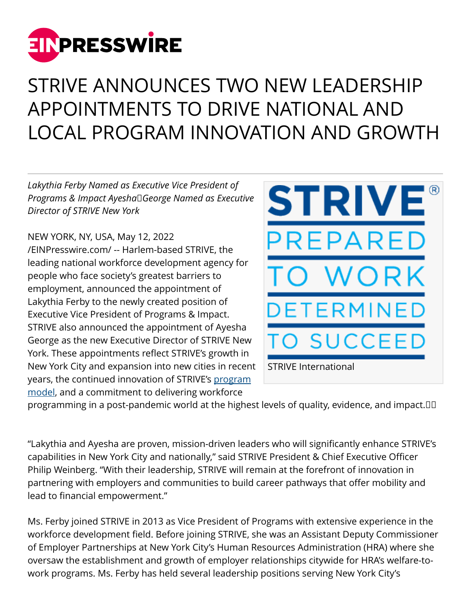

## STRIVE ANNOUNCES TWO NEW LEADERSHIP APPOINTMENTS TO DRIVE NATIONAL AND LOCAL PROGRAM INNOVATION AND GROWTH

*Lakythia Ferby Named as Executive Vice President of Programs & Impact Ayesha George Named as Executive Director of STRIVE New York*

NEW YORK, NY, USA, May 12, 2022 [/EINPresswire.com/](http://www.einpresswire.com) -- Harlem-based STRIVE, the leading national workforce development agency for people who face society's greatest barriers to employment, announced the appointment of Lakythia Ferby to the newly created position of Executive Vice President of Programs & Impact. STRIVE also announced the appointment of Ayesha George as the new Executive Director of STRIVE New York. These appointments reflect STRIVE's growth in New York City and expansion into new cities in recent years, the continued innovation of STRIVE's [program](http://www.strive.org/national-programs) [model,](http://www.strive.org/national-programs) and a commitment to delivering workforce



programming in a post-pandemic world at the highest levels of quality, evidence, and impact.  

"Lakythia and Ayesha are proven, mission-driven leaders who will significantly enhance STRIVE's capabilities in New York City and nationally," said STRIVE President & Chief Executive Officer Philip Weinberg. "With their leadership, STRIVE will remain at the forefront of innovation in partnering with employers and communities to build career pathways that offer mobility and lead to financial empowerment."

Ms. Ferby joined STRIVE in 2013 as Vice President of Programs with extensive experience in the workforce development field. Before joining STRIVE, she was an Assistant Deputy Commissioner of Employer Partnerships at New York City's Human Resources Administration (HRA) where she oversaw the establishment and growth of employer relationships citywide for HRA's welfare-towork programs. Ms. Ferby has held several leadership positions serving New York City's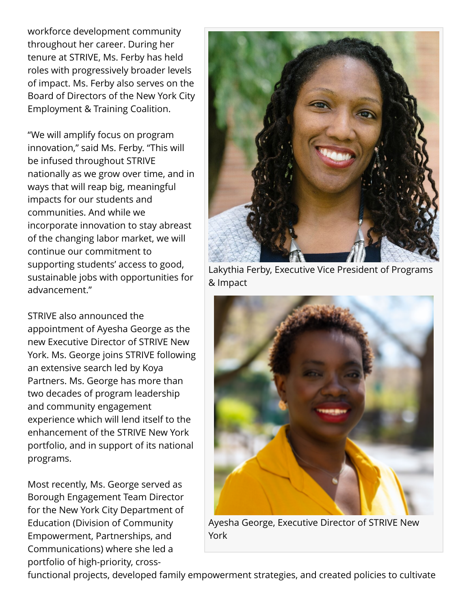workforce development community throughout her career. During her tenure at STRIVE, Ms. Ferby has held roles with progressively broader levels of impact. Ms. Ferby also serves on the Board of Directors of the New York City Employment & Training Coalition.

"We will amplify focus on program innovation," said Ms. Ferby. "This will be infused throughout STRIVE nationally as we grow over time, and in ways that will reap big, meaningful impacts for our students and communities. And while we incorporate innovation to stay abreast of the changing labor market, we will continue our commitment to supporting students' access to good, sustainable jobs with opportunities for advancement."

STRIVE also announced the appointment of Ayesha George as the new Executive Director of STRIVE New York. Ms. George joins STRIVE following an extensive search led by Koya Partners. Ms. George has more than two decades of program leadership and community engagement experience which will lend itself to the enhancement of the STRIVE New York portfolio, and in support of its national programs.

Most recently, Ms. George served as Borough Engagement Team Director for the New York City Department of Education (Division of Community Empowerment, Partnerships, and Communications) where she led a portfolio of high-priority, cross-



Lakythia Ferby, Executive Vice President of Programs & Impact



Ayesha George, Executive Director of STRIVE New York

functional projects, developed family empowerment strategies, and created policies to cultivate